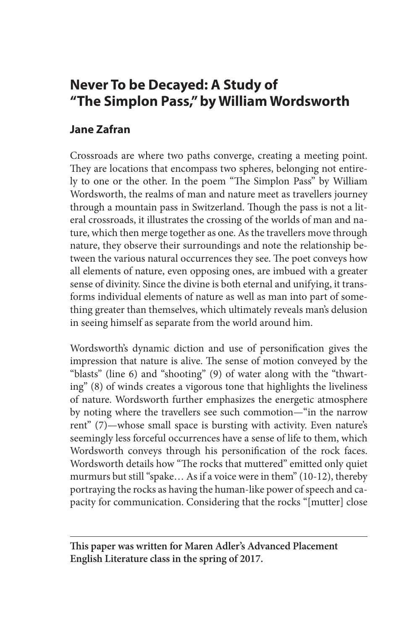# **Never To be Decayed: A Study of "The Simplon Pass," by William Wordsworth**

## **Jane Zafran**

Crossroads are where two paths converge, creating a meeting point. They are locations that encompass two spheres, belonging not entirely to one or the other. In the poem "The Simplon Pass" by William Wordsworth, the realms of man and nature meet as travellers journey through a mountain pass in Switzerland. Though the pass is not a literal crossroads, it illustrates the crossing of the worlds of man and nature, which then merge together as one. As the travellers move through nature, they observe their surroundings and note the relationship between the various natural occurrences they see. The poet conveys how all elements of nature, even opposing ones, are imbued with a greater sense of divinity. Since the divine is both eternal and unifying, it transforms individual elements of nature as well as man into part of something greater than themselves, which ultimately reveals man's delusion in seeing himself as separate from the world around him.

Wordsworth's dynamic diction and use of personification gives the impression that nature is alive. The sense of motion conveyed by the "blasts" (line 6) and "shooting" (9) of water along with the "thwarting" (8) of winds creates a vigorous tone that highlights the liveliness of nature. Wordsworth further emphasizes the energetic atmosphere by noting where the travellers see such commotion—"in the narrow rent" (7)—whose small space is bursting with activity. Even nature's seemingly less forceful occurrences have a sense of life to them, which Wordsworth conveys through his personification of the rock faces. Wordsworth details how "The rocks that muttered" emitted only quiet murmurs but still "spake… As if a voice were in them" (10-12), thereby portraying the rocks as having the human-like power of speech and capacity for communication. Considering that the rocks "[mutter] close

**This paper was written for Maren Adler's Advanced Placement English Literature class in the spring of 2017.**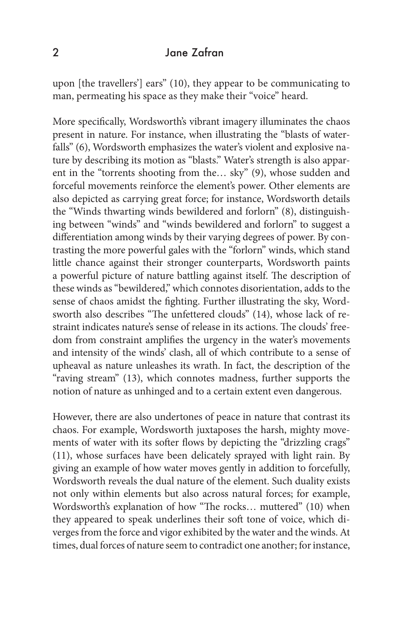#### 2 Jane Zafran

upon [the travellers'] ears" (10), they appear to be communicating to man, permeating his space as they make their "voice" heard.

More specifically, Wordsworth's vibrant imagery illuminates the chaos present in nature. For instance, when illustrating the "blasts of waterfalls" (6), Wordsworth emphasizes the water's violent and explosive nature by describing its motion as "blasts." Water's strength is also apparent in the "torrents shooting from the… sky" (9), whose sudden and forceful movements reinforce the element's power. Other elements are also depicted as carrying great force; for instance, Wordsworth details the "Winds thwarting winds bewildered and forlorn" (8), distinguishing between "winds" and "winds bewildered and forlorn" to suggest a differentiation among winds by their varying degrees of power. By contrasting the more powerful gales with the "forlorn" winds, which stand little chance against their stronger counterparts, Wordsworth paints a powerful picture of nature battling against itself. The description of these winds as "bewildered," which connotes disorientation, adds to the sense of chaos amidst the fighting. Further illustrating the sky, Wordsworth also describes "The unfettered clouds" (14), whose lack of restraint indicates nature's sense of release in its actions. The clouds' freedom from constraint amplifies the urgency in the water's movements and intensity of the winds' clash, all of which contribute to a sense of upheaval as nature unleashes its wrath. In fact, the description of the "raving stream" (13), which connotes madness, further supports the notion of nature as unhinged and to a certain extent even dangerous.

However, there are also undertones of peace in nature that contrast its chaos. For example, Wordsworth juxtaposes the harsh, mighty movements of water with its softer flows by depicting the "drizzling crags" (11), whose surfaces have been delicately sprayed with light rain. By giving an example of how water moves gently in addition to forcefully, Wordsworth reveals the dual nature of the element. Such duality exists not only within elements but also across natural forces; for example, Wordsworth's explanation of how "The rocks… muttered" (10) when they appeared to speak underlines their soft tone of voice, which diverges from the force and vigor exhibited by the water and the winds. At times, dual forces of nature seem to contradict one another; for instance,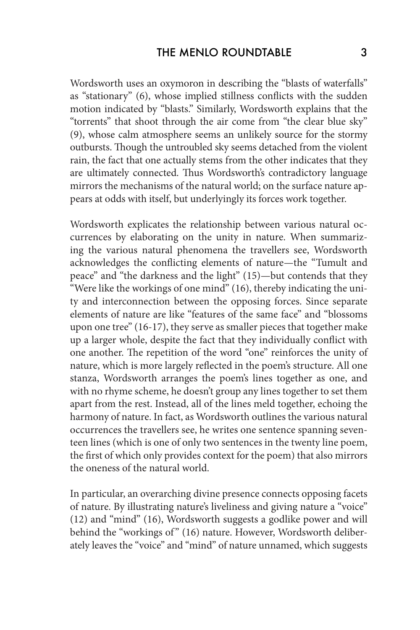Wordsworth uses an oxymoron in describing the "blasts of waterfalls" as "stationary" (6), whose implied stillness conflicts with the sudden motion indicated by "blasts." Similarly, Wordsworth explains that the "torrents" that shoot through the air come from "the clear blue sky" (9), whose calm atmosphere seems an unlikely source for the stormy outbursts. Though the untroubled sky seems detached from the violent rain, the fact that one actually stems from the other indicates that they are ultimately connected. Thus Wordsworth's contradictory language mirrors the mechanisms of the natural world; on the surface nature appears at odds with itself, but underlyingly its forces work together.

Wordsworth explicates the relationship between various natural occurrences by elaborating on the unity in nature. When summarizing the various natural phenomena the travellers see, Wordsworth acknowledges the conflicting elements of nature—the "Tumult and peace" and "the darkness and the light" (15)—but contends that they "Were like the workings of one mind" (16), thereby indicating the unity and interconnection between the opposing forces. Since separate elements of nature are like "features of the same face" and "blossoms upon one tree" (16-17), they serve as smaller pieces that together make up a larger whole, despite the fact that they individually conflict with one another. The repetition of the word "one" reinforces the unity of nature, which is more largely reflected in the poem's structure. All one stanza, Wordsworth arranges the poem's lines together as one, and with no rhyme scheme, he doesn't group any lines together to set them apart from the rest. Instead, all of the lines meld together, echoing the harmony of nature. In fact, as Wordsworth outlines the various natural occurrences the travellers see, he writes one sentence spanning seventeen lines (which is one of only two sentences in the twenty line poem, the first of which only provides context for the poem) that also mirrors the oneness of the natural world.

In particular, an overarching divine presence connects opposing facets of nature. By illustrating nature's liveliness and giving nature a "voice" (12) and "mind" (16), Wordsworth suggests a godlike power and will behind the "workings of" (16) nature. However, Wordsworth deliberately leaves the "voice" and "mind" of nature unnamed, which suggests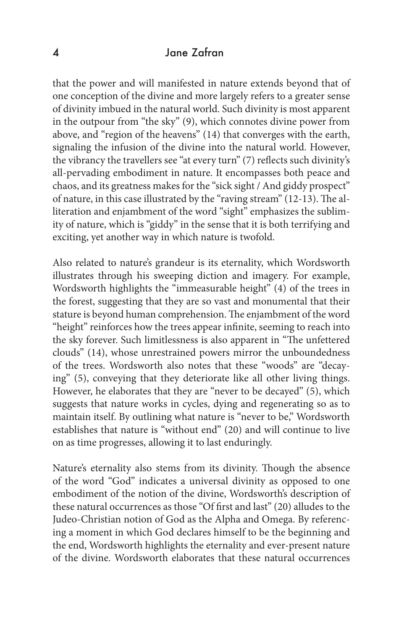#### 4 Jane Zafran

that the power and will manifested in nature extends beyond that of one conception of the divine and more largely refers to a greater sense of divinity imbued in the natural world. Such divinity is most apparent in the outpour from "the sky" (9), which connotes divine power from above, and "region of the heavens" (14) that converges with the earth, signaling the infusion of the divine into the natural world. However, the vibrancy the travellers see "at every turn" (7) reflects such divinity's all-pervading embodiment in nature. It encompasses both peace and chaos, and its greatness makes for the "sick sight / And giddy prospect" of nature, in this case illustrated by the "raving stream" (12-13). The alliteration and enjambment of the word "sight" emphasizes the sublimity of nature, which is "giddy" in the sense that it is both terrifying and exciting, yet another way in which nature is twofold.

Also related to nature's grandeur is its eternality, which Wordsworth illustrates through his sweeping diction and imagery. For example, Wordsworth highlights the "immeasurable height" (4) of the trees in the forest, suggesting that they are so vast and monumental that their stature is beyond human comprehension. The enjambment of the word "height" reinforces how the trees appear infinite, seeming to reach into the sky forever. Such limitlessness is also apparent in "The unfettered clouds" (14), whose unrestrained powers mirror the unboundedness of the trees. Wordsworth also notes that these "woods" are "decaying" (5), conveying that they deteriorate like all other living things. However, he elaborates that they are "never to be decayed" (5), which suggests that nature works in cycles, dying and regenerating so as to maintain itself. By outlining what nature is "never to be," Wordsworth establishes that nature is "without end" (20) and will continue to live on as time progresses, allowing it to last enduringly.

Nature's eternality also stems from its divinity. Though the absence of the word "God" indicates a universal divinity as opposed to one embodiment of the notion of the divine, Wordsworth's description of these natural occurrences as those "Of first and last" (20) alludes to the Judeo-Christian notion of God as the Alpha and Omega. By referencing a moment in which God declares himself to be the beginning and the end, Wordsworth highlights the eternality and ever-present nature of the divine. Wordsworth elaborates that these natural occurrences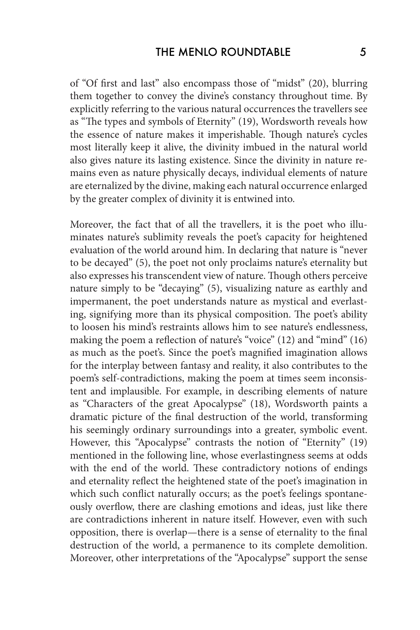of "Of first and last" also encompass those of "midst" (20), blurring them together to convey the divine's constancy throughout time. By explicitly referring to the various natural occurrences the travellers see as "The types and symbols of Eternity" (19), Wordsworth reveals how the essence of nature makes it imperishable. Though nature's cycles most literally keep it alive, the divinity imbued in the natural world also gives nature its lasting existence. Since the divinity in nature remains even as nature physically decays, individual elements of nature are eternalized by the divine, making each natural occurrence enlarged by the greater complex of divinity it is entwined into.

Moreover, the fact that of all the travellers, it is the poet who illuminates nature's sublimity reveals the poet's capacity for heightened evaluation of the world around him. In declaring that nature is "never to be decayed" (5), the poet not only proclaims nature's eternality but also expresses his transcendent view of nature. Though others perceive nature simply to be "decaying" (5), visualizing nature as earthly and impermanent, the poet understands nature as mystical and everlasting, signifying more than its physical composition. The poet's ability to loosen his mind's restraints allows him to see nature's endlessness, making the poem a reflection of nature's "voice" (12) and "mind" (16) as much as the poet's. Since the poet's magnified imagination allows for the interplay between fantasy and reality, it also contributes to the poem's self-contradictions, making the poem at times seem inconsistent and implausible. For example, in describing elements of nature as "Characters of the great Apocalypse" (18), Wordsworth paints a dramatic picture of the final destruction of the world, transforming his seemingly ordinary surroundings into a greater, symbolic event. However, this "Apocalypse" contrasts the notion of "Eternity" (19) mentioned in the following line, whose everlastingness seems at odds with the end of the world. These contradictory notions of endings and eternality reflect the heightened state of the poet's imagination in which such conflict naturally occurs; as the poet's feelings spontaneously overflow, there are clashing emotions and ideas, just like there are contradictions inherent in nature itself. However, even with such opposition, there is overlap—there is a sense of eternality to the final destruction of the world, a permanence to its complete demolition. Moreover, other interpretations of the "Apocalypse" support the sense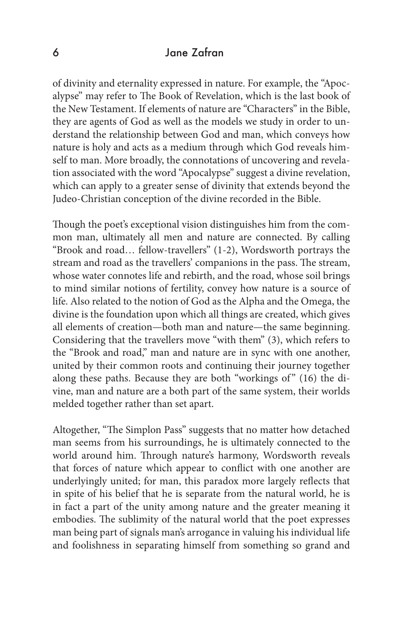#### 6 Jane Zafran

of divinity and eternality expressed in nature. For example, the "Apocalypse" may refer to The Book of Revelation, which is the last book of the New Testament. If elements of nature are "Characters" in the Bible, they are agents of God as well as the models we study in order to understand the relationship between God and man, which conveys how nature is holy and acts as a medium through which God reveals himself to man. More broadly, the connotations of uncovering and revelation associated with the word "Apocalypse" suggest a divine revelation, which can apply to a greater sense of divinity that extends beyond the Judeo-Christian conception of the divine recorded in the Bible.

Though the poet's exceptional vision distinguishes him from the common man, ultimately all men and nature are connected. By calling "Brook and road… fellow-travellers" (1-2), Wordsworth portrays the stream and road as the travellers' companions in the pass. The stream, whose water connotes life and rebirth, and the road, whose soil brings to mind similar notions of fertility, convey how nature is a source of life. Also related to the notion of God as the Alpha and the Omega, the divine is the foundation upon which all things are created, which gives all elements of creation—both man and nature—the same beginning. Considering that the travellers move "with them" (3), which refers to the "Brook and road," man and nature are in sync with one another, united by their common roots and continuing their journey together along these paths. Because they are both "workings of" (16) the divine, man and nature are a both part of the same system, their worlds melded together rather than set apart.

Altogether, "The Simplon Pass" suggests that no matter how detached man seems from his surroundings, he is ultimately connected to the world around him. Through nature's harmony, Wordsworth reveals that forces of nature which appear to conflict with one another are underlyingly united; for man, this paradox more largely reflects that in spite of his belief that he is separate from the natural world, he is in fact a part of the unity among nature and the greater meaning it embodies. The sublimity of the natural world that the poet expresses man being part of signals man's arrogance in valuing his individual life and foolishness in separating himself from something so grand and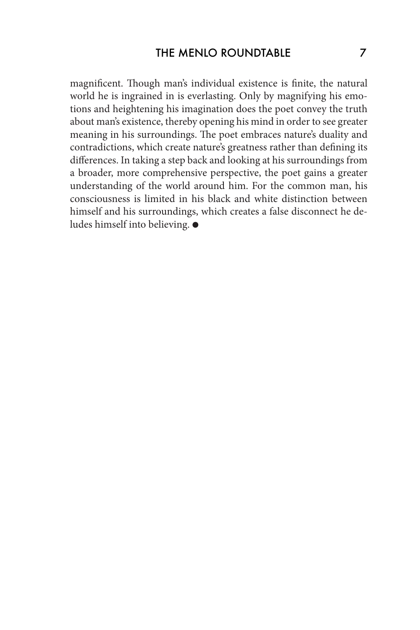magnificent. Though man's individual existence is finite, the natural world he is ingrained in is everlasting. Only by magnifying his emotions and heightening his imagination does the poet convey the truth about man's existence, thereby opening his mind in order to see greater meaning in his surroundings. The poet embraces nature's duality and contradictions, which create nature's greatness rather than defining its differences. In taking a step back and looking at his surroundings from a broader, more comprehensive perspective, the poet gains a greater understanding of the world around him. For the common man, his consciousness is limited in his black and white distinction between himself and his surroundings, which creates a false disconnect he deludes himself into believing.